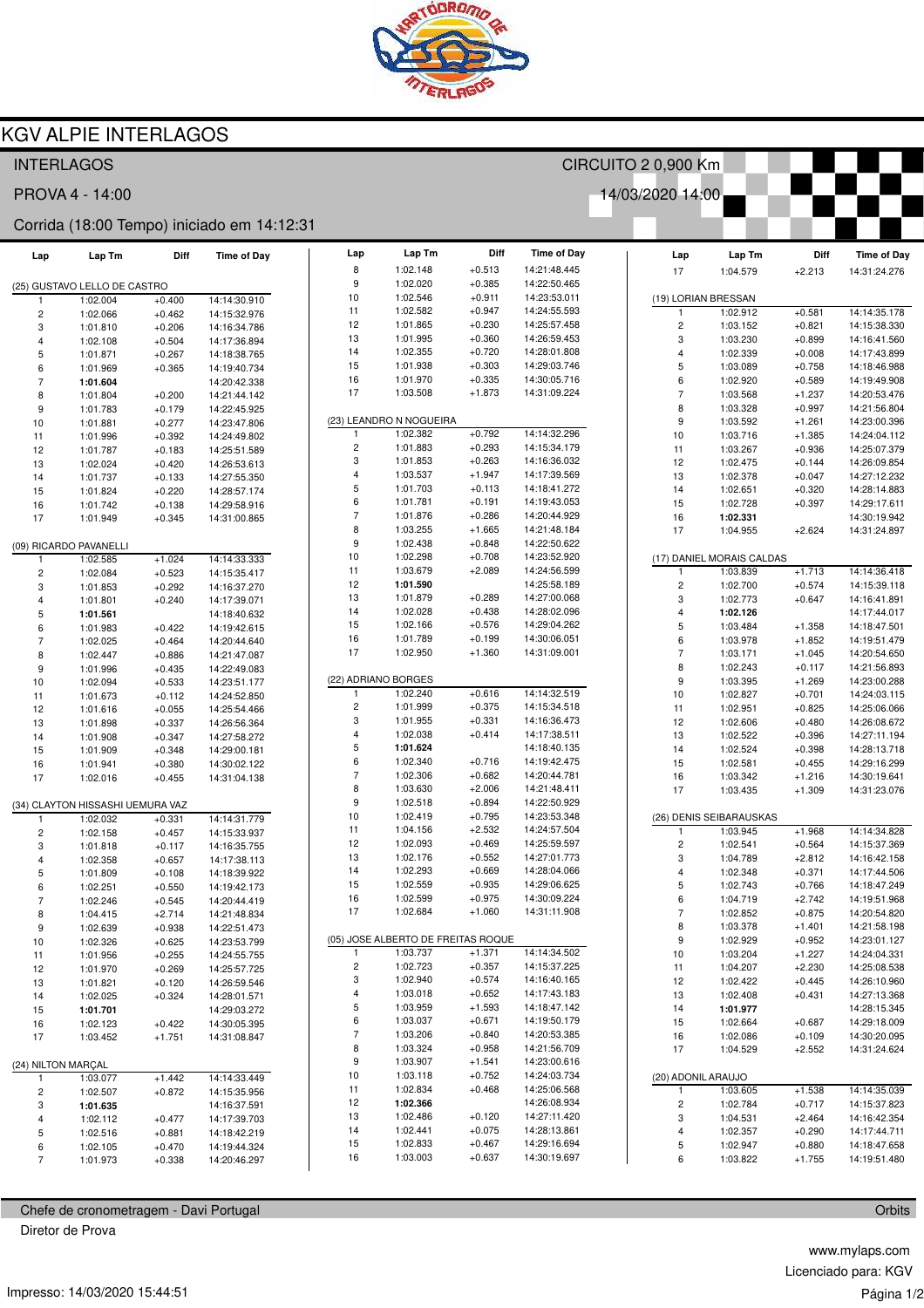

## **KGV ALPIE INTERLAGOS**

| CIRCUITO 2 0,900 Km<br><b>INTERLAGOS</b>   |                                  |          |                    |                  |                                     |                      |                              |                          |                           |          |                    |
|--------------------------------------------|----------------------------------|----------|--------------------|------------------|-------------------------------------|----------------------|------------------------------|--------------------------|---------------------------|----------|--------------------|
| 14/03/2020 14:00<br>PROVA 4 - 14:00        |                                  |          |                    |                  |                                     |                      |                              |                          |                           |          |                    |
| Corrida (18:00 Tempo) iniciado em 14:12:31 |                                  |          |                    |                  |                                     |                      |                              |                          |                           |          |                    |
| Lap                                        | Lap Tm                           | Diff     | <b>Time of Day</b> | Lap              | Lap Tm                              | Diff                 | <b>Time of Day</b>           | Lap                      | Lap Tm                    | Diff     | <b>Time of Day</b> |
|                                            |                                  |          |                    | 8                | 1:02.148                            | $+0.513$             | 14:21:48.445                 | 17                       | 1:04.579                  | $+2.213$ | 14:31:24.276       |
|                                            | (25) GUSTAVO LELLO DE CASTRO     |          |                    | 9                | 1:02.020<br>1:02.546                | $+0.385$<br>$+0.911$ | 14:22:50.465                 |                          |                           |          |                    |
|                                            | 1:02.004                         | $+0.400$ | 14:14:30.910       | 10               | 1:02.582                            | $+0.947$             | 14:23:53.011<br>14:24:55.593 |                          | (19) LORIAN BRESSAN       |          |                    |
| $\overline{c}$                             | 1:02.066                         | $+0.462$ | 14:15:32.976       | 11               |                                     | $+0.230$             |                              | $\mathbf{1}$             | 1:02.912                  | $+0.581$ | 14:14:35.178       |
| 3                                          | 1:01.810                         | $+0.206$ | 14:16:34.786       | 12               | 1:01.865<br>1:01.995                | $+0.360$             | 14:25:57.458<br>14:26:59.453 | $\overline{\mathbf{c}}$  | 1:03.152                  | $+0.821$ | 14:15:38.330       |
| 4                                          | 1:02.108                         | $+0.504$ | 14:17:36.894       | 13               |                                     |                      |                              | 3                        | 1:03.230                  | $+0.899$ | 14:16:41.560       |
| 5                                          | 1:01.871                         | $+0.267$ | 14:18:38.765       | 14               | 1:02.355                            | $+0.720$             | 14:28:01.808                 | 4                        | 1:02.339                  | $+0.008$ | 14:17:43.899       |
| 6                                          | 1:01.969                         | $+0.365$ | 14:19:40.734       | 15               | 1:01.938                            | $+0.303$<br>$+0.335$ | 14:29:03.746                 | 5                        | 1:03.089                  | $+0.758$ | 14:18:46.988       |
| $\overline{7}$                             | 1:01.604                         |          | 14:20:42.338       | 16<br>17         | 1:01.970<br>1:03.508                |                      | 14:30:05.716<br>14:31:09.224 | 6                        | 1:02.920                  | $+0.589$ | 14:19:49.908       |
| 8                                          | 1:01.804                         | $+0.200$ | 14:21:44.142       |                  |                                     | $+1.873$             |                              | $\overline{\mathcal{I}}$ | 1:03.568                  | $+1.237$ | 14:20:53.476       |
| 9                                          | 1:01.783                         | $+0.179$ | 14:22:45.925       |                  |                                     |                      |                              | 8                        | 1:03.328                  | $+0.997$ | 14:21:56.804       |
| 10                                         | 1:01.881                         | $+0.277$ | 14:23:47.806       | $\mathbf{1}$     | (23) LEANDRO N NOGUEIRA<br>1:02.382 | $+0.792$             | 14:14:32.296                 | 9                        | 1:03.592                  | $+1.261$ | 14:23:00.396       |
| 11                                         | 1:01.996                         | $+0.392$ | 14:24:49.802       |                  |                                     |                      |                              | 10                       | 1:03.716                  | $+1.385$ | 14:24:04.112       |
| 12                                         | 1:01.787                         | $+0.183$ | 14:25:51.589       | $\sqrt{2}$<br>3  | 1:01.883<br>1:01.853                | $+0.293$<br>$+0.263$ | 14:15:34.179<br>14:16:36.032 | 11                       | 1:03.267                  | $+0.936$ | 14:25:07.379       |
| 13                                         | 1:02.024                         | $+0.420$ | 14:26:53.613       |                  |                                     |                      |                              | 12                       | 1:02.475                  | $+0.144$ | 14:26:09.854       |
| 14                                         | 1:01.737                         | $+0.133$ | 14:27:55.350       | 4<br>5           | 1:03.537                            | $+1.947$<br>$+0.113$ | 14:17:39.569                 | 13                       | 1:02.378                  | $+0.047$ | 14:27:12.232       |
| 15                                         | 1:01.824                         | $+0.220$ | 14:28:57.174       | 6                | 1:01.703                            |                      | 14:18:41.272<br>14:19:43.053 | 14                       | 1:02.651                  | $+0.320$ | 14:28:14.883       |
| 16                                         | 1:01.742                         | $+0.138$ | 14:29:58.916       | $\overline{7}$   | 1:01.781                            | $+0.191$             |                              | 15                       | 1:02.728                  | $+0.397$ | 14:29:17.611       |
| 17                                         | 1:01.949                         | $+0.345$ | 14:31:00.865       | 8                | 1:01.876                            | $+0.286$             | 14:20:44.929                 | 16                       | 1:02.331                  |          | 14:30:19.942       |
|                                            |                                  |          |                    |                  | 1:03.255                            | $+1.665$             | 14:21:48.184                 | 17                       | 1:04.955                  | $+2.624$ | 14:31:24.897       |
|                                            | (09) RICARDO PAVANELLI           |          |                    | $\boldsymbol{9}$ | 1:02.438                            | $+0.848$             | 14:22:50.622                 |                          |                           |          |                    |
|                                            | 1:02.585                         | $+1.024$ | 14:14:33.333       | 10               | 1:02.298                            | $+0.708$             | 14:23:52.920                 |                          | (17) DANIEL MORAIS CALDAS |          |                    |
| $\overline{\mathbf{c}}$                    | 1:02.084                         | $+0.523$ | 14:15:35.417       | 11               | 1:03.679                            | $+2.089$             | 14:24:56.599                 | $\mathbf{1}$             | 1:03.839                  | $+1.713$ | 14:14:36.418       |
| 3                                          | 1:01.853                         | $+0.292$ | 14:16:37.270       | 12               | 1:01.590                            |                      | 14:25:58.189                 | 2                        | 1:02.700                  | $+0.574$ | 14:15:39.118       |
| 4                                          | 1:01.801                         | $+0.240$ | 14:17:39.071       | 13               | 1:01.879                            | $+0.289$             | 14:27:00.068                 | 3                        | 1:02.773                  | $+0.647$ | 14:16:41.891       |
| 5                                          | 1:01.561                         |          | 14:18:40.632       | 14               | 1:02.028                            | $+0.438$             | 14:28:02.096                 | 4                        | 1:02.126                  |          | 14:17:44.017       |
| 6                                          | 1:01.983                         | $+0.422$ | 14:19:42.615       | 15               | 1:02.166                            | $+0.576$             | 14:29:04.262                 | 5                        | 1:03.484                  | $+1.358$ | 14:18:47.501       |
| $\overline{7}$                             | 1:02.025                         | $+0.464$ | 14:20:44.640       | 16               | 1:01.789                            | $+0.199$             | 14:30:06.051                 | 6                        | 1:03.978                  | $+1.852$ | 14:19:51.479       |
| 8                                          | 1:02.447                         | $+0.886$ | 14:21:47.087       | 17               | 1:02.950                            | $+1.360$             | 14:31:09.001                 | $\overline{\phantom{a}}$ | 1:03.171                  | $+1.045$ | 14:20:54.650       |
| 9                                          | 1:01.996                         | $+0.435$ | 14:22:49.083       |                  |                                     |                      |                              | 8                        | 1:02.243                  | $+0.117$ | 14:21:56.893       |
| 10                                         | 1:02.094                         | $+0.533$ | 14:23:51.177       |                  | (22) ADRIANO BORGES                 |                      |                              | 9                        | 1:03.395                  | $+1.269$ | 14:23:00.288       |
| 11                                         | 1:01.673                         | $+0.112$ | 14:24:52.850       | $\mathbf{1}$     | 1:02.240                            | $+0.616$             | 14:14:32.519                 | 10                       | 1:02.827                  | $+0.701$ | 14:24:03.115       |
| 12                                         | 1:01.616                         | $+0.055$ | 14:25:54.466       | 2                | 1:01.999                            | $+0.375$             | 14:15:34.518                 | 11                       | 1:02.951                  | $+0.825$ | 14:25:06.066       |
| 13                                         | 1:01.898                         | $+0.337$ | 14:26:56.364       | 3                | 1:01.955                            | $+0.331$             | 14:16:36.473                 | 12                       | 1:02.606                  | $+0.480$ | 14:26:08.672       |
| 14                                         | 1:01.908                         | $+0.347$ | 14:27:58.272       | 4                | 1:02.038                            | $+0.414$             | 14:17:38.511                 | 13                       | 1:02.522                  | $+0.396$ | 14:27:11.194       |
| 15                                         | 1:01.909                         | $+0.348$ | 14:29:00.181       | 5                | 1:01.624                            |                      | 14:18:40.135                 | 14                       | 1:02.524                  | $+0.398$ | 14:28:13.718       |
| 16                                         | 1:01.941                         | $+0.380$ | 14:30:02.122       | 6                | 1:02.340                            | $+0.716$             | 14:19:42.475                 | 15                       | 1:02.581                  | $+0.455$ | 14:29:16.299       |
| 17                                         | 1:02.016                         | $+0.455$ | 14:31:04.138       | $\overline{7}$   | 1:02.306                            | $+0.682$             | 14:20:44.781                 | 16                       | 1:03.342                  | $+1.216$ | 14:30:19.641       |
|                                            |                                  |          |                    | 8                | 1:03.630                            | $+2.006$             | 14:21:48.411                 | 17                       | 1:03.435                  | $+1.309$ | 14:31:23.076       |
|                                            | (34) CLAYTON HISSASHI UEMURA VAZ |          |                    | 9                | 1:02.518                            | $+0.894$             | 14:22:50.929                 |                          |                           |          |                    |
| $\mathbf{1}$                               | 1:02.032                         | $+0.331$ | 14:14:31.779       | 10               | 1:02.419                            | $+0.795$             | 14:23:53.348                 |                          | (26) DENIS SEIBARAUSKAS   |          |                    |
| $\overline{c}$                             | 1:02.158                         | $+0.457$ | 14:15:33.937       | 11               | 1:04.156                            | $+2.532$             | 14:24:57.504                 |                          | 1:03.945                  | $+1.968$ | 14:14:34.828       |
| 3                                          | 1:01.818                         | $+0.117$ | 14:16:35.755       | 12               | 1:02.093                            | $+0.469$             | 14:25:59.597                 | $\overline{\mathbf{c}}$  | 1:02.541                  | $+0.564$ | 14:15:37.369       |
| 4                                          | 1:02.358                         | $+0.657$ | 14:17:38.113       | 13               | 1:02.176                            | $+0.552$             | 14:27:01.773                 | 3                        | 1:04.789                  | $+2.812$ | 14:16:42.158       |
| 5                                          | 1:01.809                         | $+0.108$ | 14:18:39.922       | 14               | 1:02.293                            | $+0.669$             | 14:28:04.066                 | 4                        | 1:02.348                  | $+0.371$ | 14:17:44.506       |
| 6                                          | 1:02.251                         | $+0.550$ | 14:19:42.173       | 15               | 1:02.559                            | $+0.935$             | 14:29:06.625                 | 5                        | 1:02.743                  | $+0.766$ | 14:18:47.249       |
| $\overline{7}$                             | 1:02.246                         | $+0.545$ | 14:20:44.419       | 16               | 1:02.599                            | $+0.975$             | 14:30:09.224                 | 6                        | 1:04.719                  | $+2.742$ | 14:19:51.968       |
| 8                                          | 1:04.415                         | $+2.714$ | 14:21:48.834       | 17               | 1:02.684                            | $+1.060$             | 14:31:11.908                 | $\overline{7}$           | 1:02.852                  | $+0.875$ | 14:20:54.820       |
| 9                                          | 1:02.639                         | $+0.938$ | 14:22:51.473       |                  |                                     |                      |                              | 8                        | 1:03.378                  | $+1.401$ | 14:21:58.198       |
| 10                                         | 1:02.326                         | $+0.625$ | 14:23:53.799       |                  | (05) JOSE ALBERTO DE FREITAS ROQUE  |                      |                              | 9                        | 1:02.929                  | $+0.952$ | 14:23:01.127       |
| 11                                         | 1:01.956                         | $+0.255$ | 14:24:55.755       | 1                | 1:03.737                            | $+1.371$             | 14:14:34.502                 | 10                       | 1:03.204                  | $+1.227$ | 14:24:04.331       |
| 12                                         | 1:01.970                         | $+0.269$ | 14:25:57.725       | $\overline{c}$   | 1:02.723                            | $+0.357$             | 14:15:37.225                 | 11                       | 1:04.207                  | $+2.230$ | 14:25:08.538       |
| 13                                         | 1:01.821                         | $+0.120$ | 14:26:59.546       | 3                | 1:02.940                            | $+0.574$             | 14:16:40.165                 | 12                       | 1:02.422                  | $+0.445$ | 14:26:10.960       |
| 14                                         | 1:02.025                         | $+0.324$ | 14:28:01.571       | 4                | 1:03.018                            | $+0.652$             | 14:17:43.183                 | 13                       | 1:02.408                  | $+0.431$ | 14:27:13.368       |
| 15                                         | 1:01.701                         |          | 14:29:03.272       | 5                | 1:03.959                            | $+1.593$             | 14:18:47.142                 | 14                       | 1:01.977                  |          | 14:28:15.345       |
| 16                                         | 1:02.123                         | $+0.422$ | 14:30:05.395       | 6                | 1:03.037                            | $+0.671$             | 14:19:50.179                 | 15                       | 1:02.664                  | $+0.687$ | 14:29:18.009       |
| 17                                         | 1:03.452                         | $+1.751$ | 14:31:08.847       | $\boldsymbol{7}$ | 1:03.206                            | $+0.840$             | 14:20:53.385                 | 16                       | 1:02.086                  | $+0.109$ | 14:30:20.095       |
|                                            |                                  |          |                    | 8                | 1:03.324                            | $+0.958$             | 14:21:56.709                 | 17                       | 1:04.529                  | $+2.552$ | 14:31:24.624       |
| (24) NILTON MARÇAL                         |                                  |          |                    | 9                | 1:03.907                            | $+1.541$             | 14:23:00.616                 |                          |                           |          |                    |
| $\mathbf{1}$                               | 1:03.077                         | $+1.442$ | 14:14:33.449       | 10               | 1:03.118                            | $+0.752$             | 14:24:03.734                 |                          | (20) ADONIL ARAUJO        |          |                    |
| $\overline{c}$                             | 1:02.507                         | $+0.872$ | 14:15:35.956       | 11               | 1:02.834                            | $+0.468$             | 14:25:06.568                 | $\mathbf{1}$             | 1:03.605                  | $+1.538$ | 14:14:35.039       |
| 3                                          | 1:01.635                         |          | 14:16:37.591       | 12               | 1:02.366                            |                      | 14:26:08.934                 | $\overline{\mathbf{c}}$  | 1:02.784                  | $+0.717$ | 14:15:37.823       |
| 4                                          | 1:02.112                         | $+0.477$ | 14:17:39.703       | 13               | 1:02.486                            | $+0.120$             | 14:27:11.420                 | 3                        | 1:04.531                  | $+2.464$ | 14:16:42.354       |
| $\,$ 5 $\,$                                | 1:02.516                         | $+0.881$ | 14:18:42.219       | 14               | 1:02.441                            | $+0.075$             | 14:28:13.861                 | 4                        | 1:02.357                  | $+0.290$ | 14:17:44.711       |
| 6                                          | 1:02.105                         | $+0.470$ | 14:19:44.324       | 15               | 1:02.833                            | $+0.467$             | 14:29:16.694                 | 5                        | 1:02.947                  | $+0.880$ | 14:18:47.658       |
| $\overline{7}$                             | 1:01.973                         | $+0.338$ | 14:20:46.297       | 16               | 1:03.003                            | $+0.637$             | 14:30:19.697                 | 6                        | 1:03.822                  | $+1.755$ | 14:19:51.480       |

Chefe de cronometragem - Davi Portugal

Diretor de Prova

www.mylaps.com Licenciado para: KGV Página 1/2

Orbits